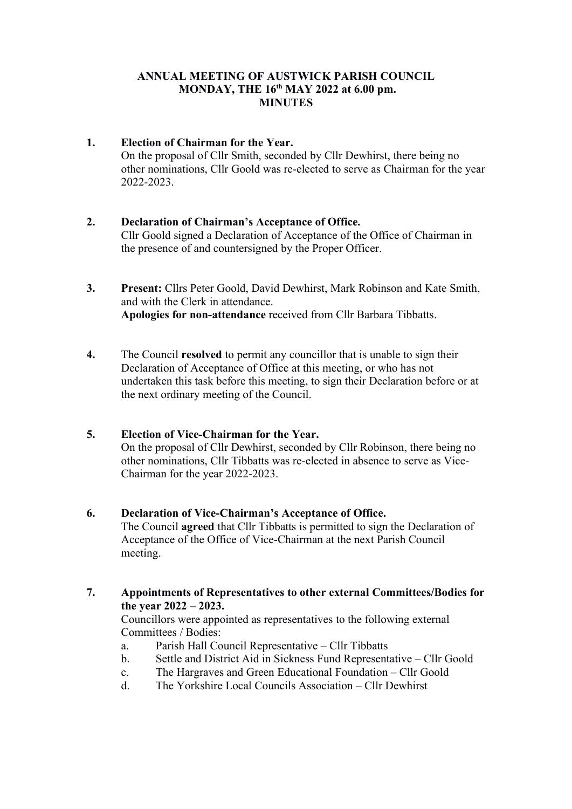### ANNUAL MEETING OF AUSTWICK PARISH COUNCIL MONDAY, THE 16<sup>th</sup> MAY 2022 at 6.00 pm. **MINUTES**

#### 1. Election of Chairman for the Year. On the proposal of Cllr Smith, seconded by Cllr Dewhirst, there being no other nominations, Cllr Goold was re-elected to serve as Chairman for the year 2022-2023.

# 2. Declaration of Chairman's Acceptance of Office. Cllr Goold signed a Declaration of Acceptance of the Office of Chairman in the presence of and countersigned by the Proper Officer.

- 3. Present: Cllrs Peter Goold, David Dewhirst, Mark Robinson and Kate Smith, and with the Clerk in attendance. Apologies for non-attendance received from Cllr Barbara Tibbatts.
- 4. The Council resolved to permit any councillor that is unable to sign their Declaration of Acceptance of Office at this meeting, or who has not undertaken this task before this meeting, to sign their Declaration before or at the next ordinary meeting of the Council.

# 5. Election of Vice-Chairman for the Year.

On the proposal of Cllr Dewhirst, seconded by Cllr Robinson, there being no other nominations, Cllr Tibbatts was re-elected in absence to serve as Vice-Chairman for the year 2022-2023.

### 6. Declaration of Vice-Chairman's Acceptance of Office.

The Council agreed that Cllr Tibbatts is permitted to sign the Declaration of Acceptance of the Office of Vice-Chairman at the next Parish Council meeting.

7. Appointments of Representatives to other external Committees/Bodies for the year 2022 – 2023.

Councillors were appointed as representatives to the following external Committees / Bodies:

- a. Parish Hall Council Representative Cllr Tibbatts
- b. Settle and District Aid in Sickness Fund Representative Cllr Goold
- c. The Hargraves and Green Educational Foundation Cllr Goold
- d. The Yorkshire Local Councils Association Cllr Dewhirst